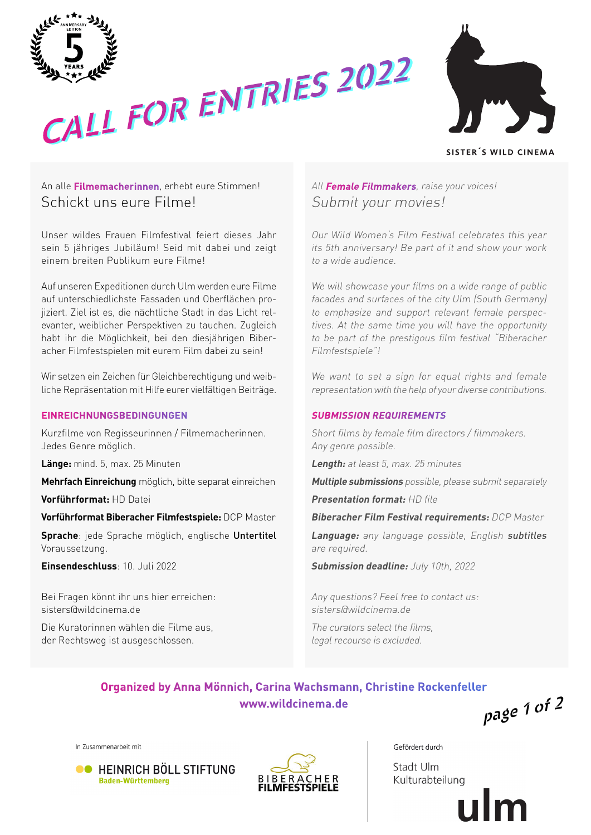





SISTER'S WILD CINEMA

# An alle **Filmemacherinnen**, erhebt eure Stimmen! Schickt uns eure Filme!

Unser wildes Frauen Filmfestival feiert dieses Jahr sein 5 jähriges Jubiläum! Seid mit dabei und zeigt einem breiten Publikum eure Filme!

Auf unseren Expeditionen durch Ulm werden eure Filme auf unterschiedlichste Fassaden und Oberflächen projiziert. Ziel ist es, die nächtliche Stadt in das Licht relevanter, weiblicher Perspektiven zu tauchen. Zugleich habt ihr die Möglichkeit, bei den diesjährigen Biberacher Filmfestspielen mit eurem Film dabei zu sein!

Wir setzen ein Zeichen für Gleichberechtigung und weibliche Repräsentation mit Hilfe eurer vielfältigen Beiträge.

## **EINREICHNUNGSBEDINGUNGEN**

Kurzfilme von Regisseurinnen / Filmemacherinnen. Jedes Genre möglich.

**Länge:** mind. 5, max. 25 Minuten

**Mehrfach Einreichung** möglich, bitte separat einreichen

**Vorführformat:** HD Datei

**Vorführformat Biberacher Filmfestspiele:** DCP Master

**Sprache**: jede Sprache möglich, englische Untertitel Voraussetzung.

**Einsendeschluss**: 10. Juli 2022

Bei Fragen könnt ihr uns hier erreichen: sisters@wildcinema.de

Die Kuratorinnen wählen die Filme aus, der Rechtsweg ist ausgeschlossen.

# All **Female Filmmakers**, raise your voices! Submit your movies!

Our Wild Women's Film Festival celebrates this year its 5th anniversary! Be part of it and show your work to a wide audience.

We will showcase your films on a wide range of public facades and surfaces of the city Ulm (South Germany) to emphasize and support relevant female perspectives. At the same time you will have the opportunity to be part of the prestigous film festival "Biberacher Filmfestspiele"!

We want to set a sign for equal rights and female representation with the help of your diverse contributions.

## **SUBMISSION REQUIREMENTS**

Short films by female film directors / filmmakers. Any genre possible.

**Length:** at least 5, max. 25 minutes

**Multiple submissions** possible, please submit separately

**Presentation format:** HD file

**Biberacher Film Festival requirements:** DCP Master

**Language:** any language possible, English subtitles are required.

**Submission deadline:** July 10th, 2022

Any questions? Feel free to contact us: sisters@wildcinema.de

The curators select the films, legal recourse is excluded.

# **Organized by Anna Mönnich, Carina Wachsmann, Christine Rockenfeller www.wildcinema.de page 1 of 2**

In Zusammenarbeit mit





Gefördert durch

Stadt Ulm Kulturabteilung